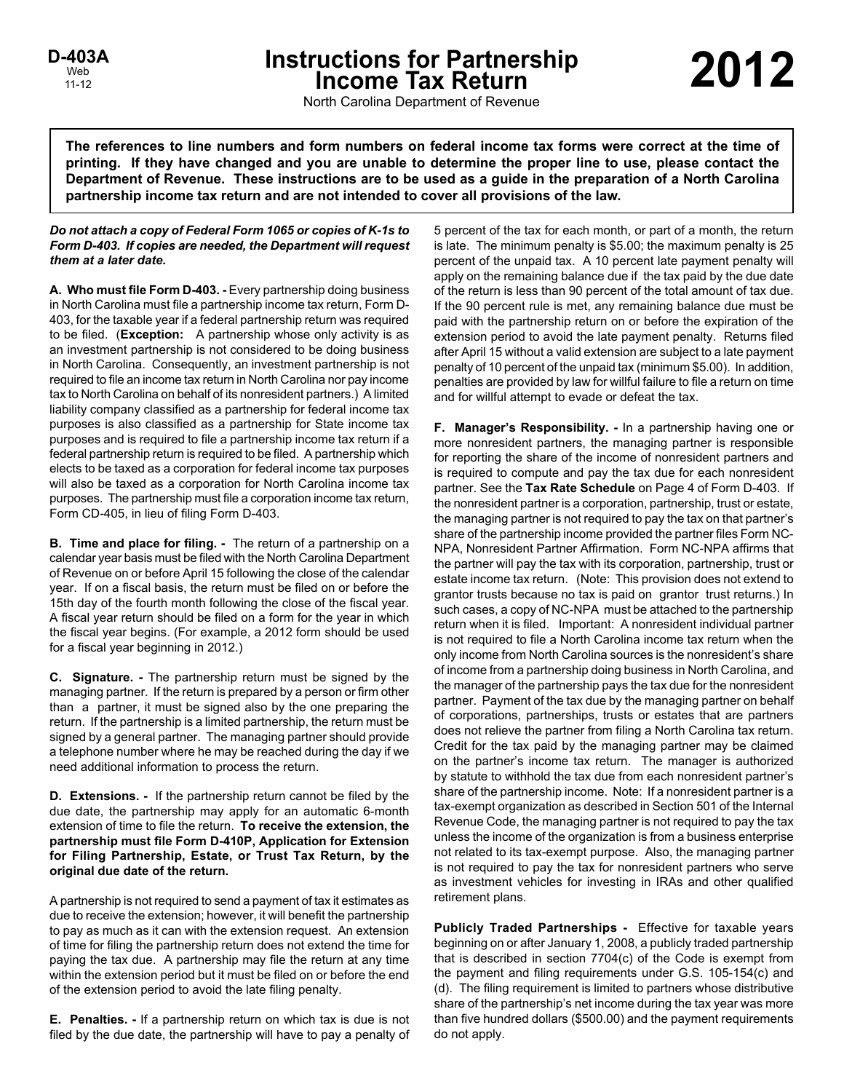# **Instructions for Partnership 2012**<br>
Income Tax Return<br>
Note 2012

North Carolina Department of Revenue

**The references to line numbers and form numbers on federal income tax forms were correct at the time of printing. If they have changed and you are unable to determine the proper line to use, please contact the Department of Revenue. These instructions are to be used as a guide in the preparation of a North Carolina partnership income tax return and are not intended to cover all provisions of the law.**

# *Do not attach a copy of Federal Form 1065 or copies of K-1s to Form D-403. If copies are needed, the Department will request them at a later date.*

**A. Who must file Form D-403. -** Every partnership doing business in North Carolina must file a partnership income tax return, Form D-403, for the taxable year if a federal partnership return was required to be filed. (**Exception:** A partnership whose only activity is as an investment partnership is not considered to be doing business in North Carolina. Consequently, an investment partnership is not required to file an income tax return in North Carolina nor pay income tax to North Carolina on behalf of its nonresident partners.) A limited liability company classified as a partnership for federal income tax purposes is also classified as a partnership for State income tax purposes and is required to file a partnership income tax return if a federal partnership return is required to be filed. A partnership which elects to be taxed as a corporation for federal income tax purposes will also be taxed as a corporation for North Carolina income tax purposes. The partnership must file a corporation income tax return, Form CD-405, in lieu of filing Form D-403.

**B. Time and place for filing. -** The return of a partnership on a calendar year basis must be filed with the North Carolina Department of Revenue on or before April 15 following the close of the calendar year. If on a fiscal basis, the return must be filed on or before the 15th day of the fourth month following the close of the fiscal year. A fiscal year return should be filed on a form for the year in which the fiscal year begins. (For example, a 2012 form should be used for a fiscal year beginning in 2012.)

**C. Signature. -** The partnership return must be signed by the managing partner. If the return is prepared by a person or firm other than a partner, it must be signed also by the one preparing the return. If the partnership is a limited partnership, the return must be signed by a general partner. The managing partner should provide a telephone number where he may be reached during the day if we need additional information to process the return.

**D. Extensions. -** If the partnership return cannot be filed by the due date, the partnership may apply for an automatic 6-month extension of time to file the return. **To receive the extension, the partnership must file Form D-410P, Application for Extension for Filing Partnership, Estate, or Trust Tax Return, by the original due date of the return.**

A partnership is not required to send a payment of tax it estimates as due to receive the extension; however, it will benefit the partnership to pay as much as it can with the extension request. An extension of time for filing the partnership return does not extend the time for paying the tax due. A partnership may file the return at any time within the extension period but it must be filed on or before the end of the extension period to avoid the late filing penalty.

**E. Penalties. -** If a partnership return on which tax is due is not filed by the due date, the partnership will have to pay a penalty of 5 percent of the tax for each month, or part of a month, the return is late. The minimum penalty is \$5.00; the maximum penalty is 25 percent of the unpaid tax. A 10 percent late payment penalty will apply on the remaining balance due if the tax paid by the due date of the return is less than 90 percent of the total amount of tax due. If the 90 percent rule is met, any remaining balance due must be paid with the partnership return on or before the expiration of the extension period to avoid the late payment penalty. Returns filed after April 15 without a valid extension are subject to a late payment penalty of 10 percent of the unpaid tax (minimum \$5.00). In addition, penalties are provided by law for willful failure to file a return on time and for willful attempt to evade or defeat the tax.

**F. Manager's Responsibility. -** In a partnership having one or more nonresident partners, the managing partner is responsible for reporting the share of the income of nonresident partners and is required to compute and pay the tax due for each nonresident partner. See the **Tax Rate Schedule** on Page 4 of Form D-403. If the nonresident partner is a corporation, partnership, trust or estate, the managing partner is not required to pay the tax on that partner's share of the partnership income provided the partner files Form NC-NPA, Nonresident Partner Affirmation. Form NC-NPA affirms that the partner will pay the tax with its corporation, partnership, trust or estate income tax return. (Note: This provision does not extend to grantor trusts because no tax is paid on grantor trust returns.) In such cases, a copy of NC-NPA must be attached to the partnership return when it is filed. Important: A nonresident individual partner is not required to file a North Carolina income tax return when the only income from North Carolina sources is the nonresident's share of income from a partnership doing business in North Carolina, and the manager of the partnership pays the tax due for the nonresident partner. Payment of the tax due by the managing partner on behalf of corporations, partnerships, trusts or estates that are partners does not relieve the partner from filing a North Carolina tax return. Credit for the tax paid by the managing partner may be claimed on the partner's income tax return. The manager is authorized by statute to withhold the tax due from each nonresident partner's share of the partnership income. Note: If a nonresident partner is a tax-exempt organization as described in Section 501 of the Internal Revenue Code, the managing partner is not required to pay the tax unless the income of the organization is from a business enterprise not related to its tax-exempt purpose. Also, the managing partner is not required to pay the tax for nonresident partners who serve as investment vehicles for investing in IRAs and other qualified retirement plans.

**Publicly Traded Partnerships -** Effective for taxable years beginning on or after January 1, 2008, a publicly traded partnership that is described in section 7704(c) of the Code is exempt from the payment and filing requirements under G.S. 105-154(c) and (d). The filing requirement is limited to partners whose distributive share of the partnership's net income during the tax year was more than five hundred dollars (\$500.00) and the payment requirements do not apply.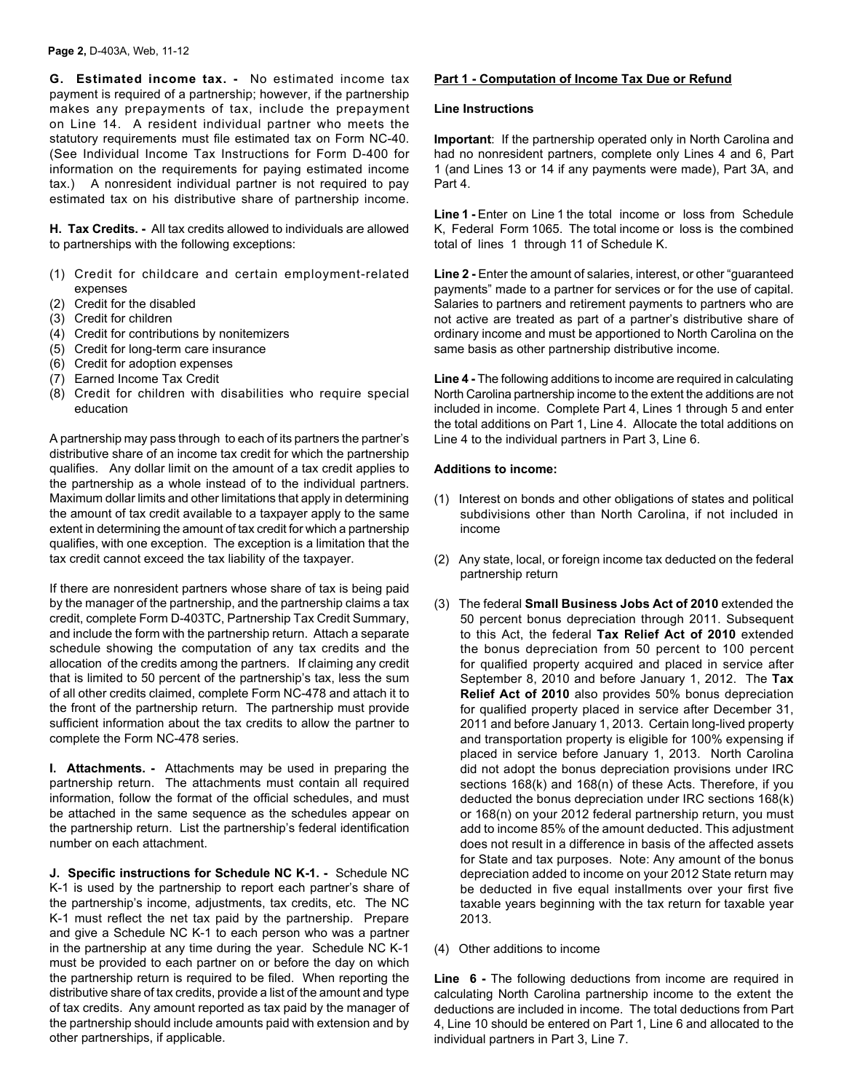**G. Estimated income tax. -** No estimated income tax payment is required of a partnership; however, if the partnership makes any prepayments of tax, include the prepayment on Line 14. A resident individual partner who meets the statutory requirements must file estimated tax on Form NC-40. (See Individual Income Tax Instructions for Form D-400 for information on the requirements for paying estimated income tax.) A nonresident individual partner is not required to pay estimated tax on his distributive share of partnership income.

**H. Tax Credits. -** All tax credits allowed to individuals are allowed to partnerships with the following exceptions:

- (1) Credit for childcare and certain employment-related expenses
- (2) Credit for the disabled
- (3) Credit for children
- (4) Credit for contributions by nonitemizers
- (5) Credit for long-term care insurance
- (6) Credit for adoption expenses
- (7) Earned Income Tax Credit
- (8) Credit for children with disabilities who require special education

A partnership may pass through to each of its partners the partner's distributive share of an income tax credit for which the partnership qualifies. Any dollar limit on the amount of a tax credit applies to the partnership as a whole instead of to the individual partners. Maximum dollar limits and other limitations that apply in determining the amount of tax credit available to a taxpayer apply to the same extent in determining the amount of tax credit for which a partnership qualifies, with one exception. The exception is a limitation that the tax credit cannot exceed the tax liability of the taxpayer.

If there are nonresident partners whose share of tax is being paid by the manager of the partnership, and the partnership claims a tax credit, complete Form D-403TC, Partnership Tax Credit Summary, and include the form with the partnership return. Attach a separate schedule showing the computation of any tax credits and the allocation of the credits among the partners. If claiming any credit that is limited to 50 percent of the partnership's tax, less the sum of all other credits claimed, complete Form NC-478 and attach it to the front of the partnership return. The partnership must provide sufficient information about the tax credits to allow the partner to complete the Form NC-478 series.

**I. Attachments. -** Attachments may be used in preparing the partnership return. The attachments must contain all required information, follow the format of the official schedules, and must be attached in the same sequence as the schedules appear on the partnership return. List the partnership's federal identification number on each attachment.

**J. Specific instructions for Schedule NC K-1. -** Schedule NC K-1 is used by the partnership to report each partner's share of the partnership's income, adjustments, tax credits, etc. The NC K-1 must reflect the net tax paid by the partnership. Prepare and give a Schedule NC K-1 to each person who was a partner in the partnership at any time during the year. Schedule NC K-1 must be provided to each partner on or before the day on which the partnership return is required to be filed. When reporting the distributive share of tax credits, provide a list of the amount and type of tax credits. Any amount reported as tax paid by the manager of the partnership should include amounts paid with extension and by other partnerships, if applicable.

# **Part 1 - Computation of Income Tax Due or Refund**

## **Line Instructions**

**Important**: If the partnership operated only in North Carolina and had no nonresident partners, complete only Lines 4 and 6, Part 1 (and Lines 13 or 14 if any payments were made), Part 3A, and Part 4.

Line 1 - Enter on Line 1 the total income or loss from Schedule K, Federal Form 1065. The total income or loss is the combined total of lines 1 through 11 of Schedule K.

Line 2 - Enter the amount of salaries, interest, or other "guaranteed payments" made to a partner for services or for the use of capital. Salaries to partners and retirement payments to partners who are not active are treated as part of a partner's distributive share of ordinary income and must be apportioned to North Carolina on the same basis as other partnership distributive income.

**Line 4 -** The following additions to income are required in calculating North Carolina partnership income to the extent the additions are not included in income. Complete Part 4, Lines 1 through 5 and enter the total additions on Part 1, Line 4. Allocate the total additions on Line 4 to the individual partners in Part 3, Line 6.

# **Additions to income:**

- (1) Interest on bonds and other obligations of states and political subdivisions other than North Carolina, if not included in income
- (2) Any state, local, or foreign income tax deducted on the federal partnership return
- (3) The federal **Small Business Jobs Act of 2010** extended the 50 percent bonus depreciation through 2011. Subsequent to this Act, the federal **Tax Relief Act of 2010** extended the bonus depreciation from 50 percent to 100 percent for qualified property acquired and placed in service after September 8, 2010 and before January 1, 2012. The **Tax Relief Act of 2010** also provides 50% bonus depreciation for qualified property placed in service after December 31, 2011 and before January 1, 2013. Certain long-lived property and transportation property is eligible for 100% expensing if placed in service before January 1, 2013. North Carolina did not adopt the bonus depreciation provisions under IRC sections 168(k) and 168(n) of these Acts. Therefore, if you deducted the bonus depreciation under IRC sections 168(k) or 168(n) on your 2012 federal partnership return, you must add to income 85% of the amount deducted. This adjustment does not result in a difference in basis of the affected assets for State and tax purposes. Note: Any amount of the bonus depreciation added to income on your 2012 State return may be deducted in five equal installments over your first five taxable years beginning with the tax return for taxable year 2013.
- (4) Other additions to income

**Line 6 -** The following deductions from income are required in calculating North Carolina partnership income to the extent the deductions are included in income. The total deductions from Part 4, Line 10 should be entered on Part 1, Line 6 and allocated to the individual partners in Part 3, Line 7.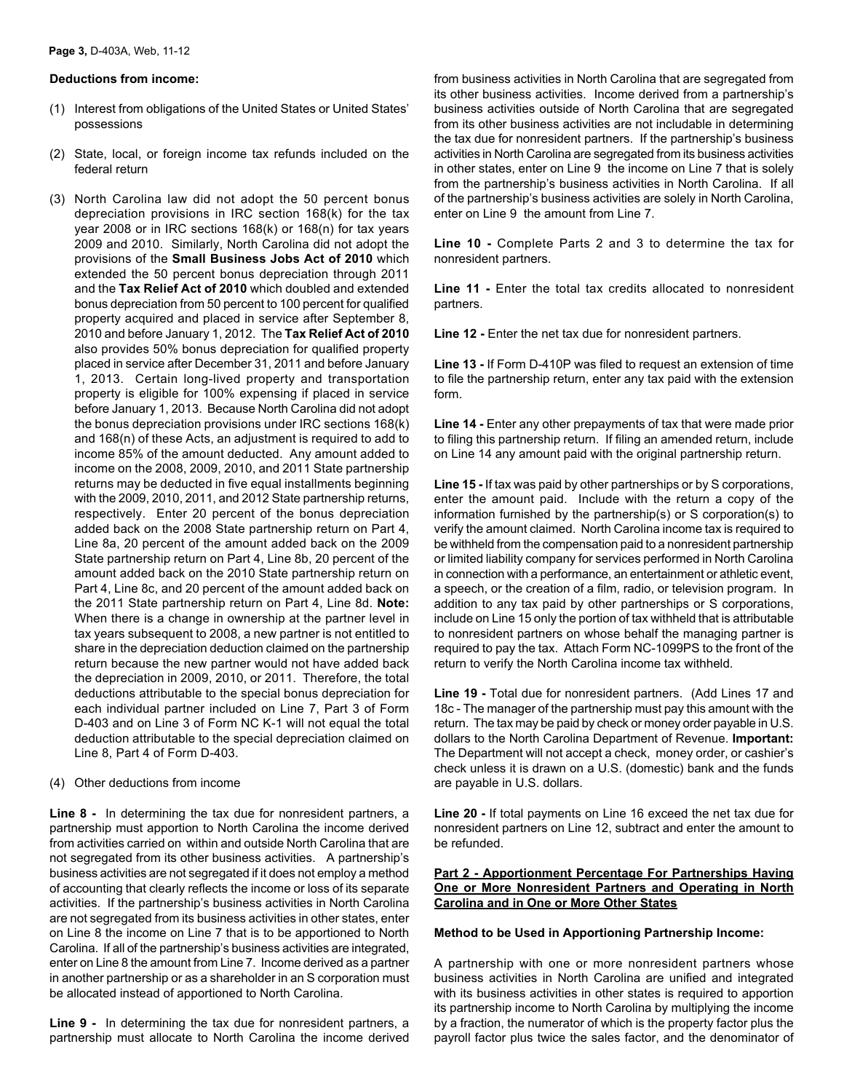## **Deductions from income:**

- (1) Interest from obligations of the United States or United States' possessions
- (2) State, local, or foreign income tax refunds included on the federal return
- (3) North Carolina law did not adopt the 50 percent bonus depreciation provisions in IRC section 168(k) for the tax year 2008 or in IRC sections 168(k) or 168(n) for tax years 2009 and 2010. Similarly, North Carolina did not adopt the provisions of the **Small Business Jobs Act of 2010** which extended the 50 percent bonus depreciation through 2011 and the **Tax Relief Act of 2010** which doubled and extended bonus depreciation from 50 percent to 100 percent for qualified property acquired and placed in service after September 8, 2010 and before January 1, 2012. The **Tax Relief Act of 2010** also provides 50% bonus depreciation for qualified property placed in service after December 31, 2011 and before January 1, 2013. Certain long-lived property and transportation property is eligible for 100% expensing if placed in service before January 1, 2013. Because North Carolina did not adopt the bonus depreciation provisions under IRC sections 168(k) and 168(n) of these Acts, an adjustment is required to add to income 85% of the amount deducted. Any amount added to income on the 2008, 2009, 2010, and 2011 State partnership returns may be deducted in five equal installments beginning with the 2009, 2010, 2011, and 2012 State partnership returns, respectively. Enter 20 percent of the bonus depreciation added back on the 2008 State partnership return on Part 4, Line 8a, 20 percent of the amount added back on the 2009 State partnership return on Part 4, Line 8b, 20 percent of the amount added back on the 2010 State partnership return on Part 4, Line 8c, and 20 percent of the amount added back on the 2011 State partnership return on Part 4, Line 8d. **Note:**  When there is a change in ownership at the partner level in tax years subsequent to 2008, a new partner is not entitled to share in the depreciation deduction claimed on the partnership return because the new partner would not have added back the depreciation in 2009, 2010, or 2011. Therefore, the total deductions attributable to the special bonus depreciation for each individual partner included on Line 7, Part 3 of Form D-403 and on Line 3 of Form NC K-1 will not equal the total deduction attributable to the special depreciation claimed on Line 8, Part 4 of Form D-403.

#### (4) Other deductions from income

**Line 8 -** In determining the tax due for nonresident partners, a partnership must apportion to North Carolina the income derived from activities carried on within and outside North Carolina that are not segregated from its other business activities. A partnership's business activities are not segregated if it does not employ a method of accounting that clearly reflects the income or loss of its separate activities. If the partnership's business activities in North Carolina are not segregated from its business activities in other states, enter on Line 8 the income on Line 7 that is to be apportioned to North Carolina. If all of the partnership's business activities are integrated, enter on Line 8 the amount from Line 7. Income derived as a partner in another partnership or as a shareholder in an S corporation must be allocated instead of apportioned to North Carolina.

**Line 9 -** In determining the tax due for nonresident partners, a partnership must allocate to North Carolina the income derived from business activities in North Carolina that are segregated from its other business activities. Income derived from a partnership's business activities outside of North Carolina that are segregated from its other business activities are not includable in determining the tax due for nonresident partners. If the partnership's business activities in North Carolina are segregated from its business activities in other states, enter on Line 9 the income on Line 7 that is solely from the partnership's business activities in North Carolina. If all of the partnership's business activities are solely in North Carolina, enter on Line 9 the amount from Line 7.

**Line 10 -** Complete Parts 2 and 3 to determine the tax for nonresident partners.

**Line 11 -** Enter the total tax credits allocated to nonresident partners.

**Line 12 -** Enter the net tax due for nonresident partners.

**Line 13 -** If Form D-410P was filed to request an extension of time to file the partnership return, enter any tax paid with the extension form.

**Line 14 -** Enter any other prepayments of tax that were made prior to filing this partnership return. If filing an amended return, include on Line 14 any amount paid with the original partnership return.

**Line 15 -** If tax was paid by other partnerships or by S corporations, enter the amount paid. Include with the return a copy of the information furnished by the partnership(s) or S corporation(s) to verify the amount claimed. North Carolina income tax is required to be withheld from the compensation paid to a nonresident partnership or limited liability company for services performed in North Carolina in connection with a performance, an entertainment or athletic event, a speech, or the creation of a film, radio, or television program. In addition to any tax paid by other partnerships or S corporations, include on Line 15 only the portion of tax withheld that is attributable to nonresident partners on whose behalf the managing partner is required to pay the tax. Attach Form NC-1099PS to the front of the return to verify the North Carolina income tax withheld.

**Line 19 -** Total due for nonresident partners. (Add Lines 17 and 18c - The manager of the partnership must pay this amount with the return. The tax may be paid by check or money order payable in U.S. dollars to the North Carolina Department of Revenue. **Important:** The Department will not accept a check, money order, or cashier's check unless it is drawn on a U.S. (domestic) bank and the funds are payable in U.S. dollars.

**Line 20 -** If total payments on Line 16 exceed the net tax due for nonresident partners on Line 12, subtract and enter the amount to be refunded.

## **Part 2 - Apportionment Percentage For Partnerships Having One or More Nonresident Partners and Operating in North Carolina and in One or More Other States**

#### **Method to be Used in Apportioning Partnership Income:**

A partnership with one or more nonresident partners whose business activities in North Carolina are unified and integrated with its business activities in other states is required to apportion its partnership income to North Carolina by multiplying the income by a fraction, the numerator of which is the property factor plus the payroll factor plus twice the sales factor, and the denominator of